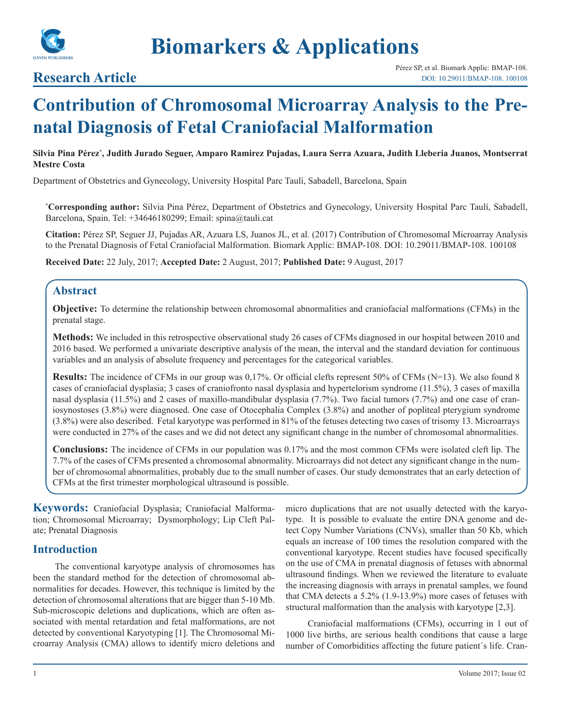

**Biomarkers & Applications**

# **Research Article**

# **Contribution of Chromosomal Microarray Analysis to the Prenatal Diagnosis of Fetal Craniofacial Malformation**

**Silvia Pina Pérez\* , Judith Jurado Seguer, Amparo Ramirez Pujadas, Laura Serra Azuara, Judith Lleberia Juanos, Montserrat Mestre Costa**

Department of Obstetrics and Gynecology, University Hospital Parc Taulí, Sabadell, Barcelona, Spain

**\* Corresponding author:** Silvia Pina Pérez, Department of Obstetrics and Gynecology, University Hospital Parc Taulí, Sabadell, Barcelona, Spain. Tel: +34646180299; Email: spina@tauli.cat

**Citation:** Pérez SP, Seguer JJ, Pujadas AR, Azuara LS, Juanos JL, et al. (2017) Contribution of Chromosomal Microarray Analysis to the Prenatal Diagnosis of Fetal Craniofacial Malformation. Biomark Applic: BMAP-108. DOI: 10.29011/BMAP-108. 100108

**Received Date:** 22 July, 2017; **Accepted Date:** 2 August, 2017; **Published Date:** 9 August, 2017

# **Abstract**

**Objective:** To determine the relationship between chromosomal abnormalities and craniofacial malformations (CFMs) in the prenatal stage.

**Methods:** We included in this retrospective observational study 26 cases of CFMs diagnosed in our hospital between 2010 and 2016 based. We performed a univariate descriptive analysis of the mean, the interval and the standard deviation for continuous variables and an analysis of absolute frequency and percentages for the categorical variables.

**Results:** The incidence of CFMs in our group was 0,17%. Or official clefts represent 50% of CFMs (N=13). We also found 8 cases of craniofacial dysplasia; 3 cases of craniofronto nasal dysplasia and hypertelorism syndrome (11.5%), 3 cases of maxilla nasal dysplasia (11.5%) and 2 cases of maxillo-mandibular dysplasia (7.7%). Two facial tumors (7.7%) and one case of craniosynostoses (3.8%) were diagnosed. One case of Otocephalia Complex (3.8%) and another of popliteal pterygium syndrome (3.8%) were also described. Fetal karyotype was performed in 81% of the fetuses detecting two cases of trisomy 13. Microarrays were conducted in 27% of the cases and we did not detect any significant change in the number of chromosomal abnormalities.

**Conclusions:** The incidence of CFMs in our population was 0.17% and the most common CFMs were isolated cleft lip. The 7.7% of the cases of CFMs presented a chromosomal abnormality. Microarrays did not detect any significant change in the number of chromosomal abnormalities, probably due to the small number of cases. Our study demonstrates that an early detection of CFMs at the first trimester morphological ultrasound is possible.

**Keywords:** Craniofacial Dysplasia; Craniofacial Malformation; Chromosomal Microarray; Dysmorphology; Lip Cleft Palate; Prenatal Diagnosis

# **Introduction**

The conventional karyotype analysis of chromosomes has been the standard method for the detection of chromosomal abnormalities for decades. However, this technique is limited by the detection of chromosomal alterations that are bigger than 5-10 Mb. Sub-microscopic deletions and duplications, which are often associated with mental retardation and fetal malformations, are not detected by conventional Karyotyping [1]. The Chromosomal Microarray Analysis (CMA) allows to identify micro deletions and

micro duplications that are not usually detected with the karyotype. It is possible to evaluate the entire DNA genome and detect Copy Number Variations (CNVs), smaller than 50 Kb, which equals an increase of 100 times the resolution compared with the conventional karyotype. Recent studies have focused specifically on the use of CMA in prenatal diagnosis of fetuses with abnormal ultrasound findings. When we reviewed the literature to evaluate the increasing diagnosis with arrays in prenatal samples, we found that CMA detects a 5.2% (1.9-13.9%) more cases of fetuses with structural malformation than the analysis with karyotype [2,3].

Craniofacial malformations (CFMs), occurring in 1 out of 1000 live births, are serious health conditions that cause a large number of Comorbidities affecting the future patient´s life. Cran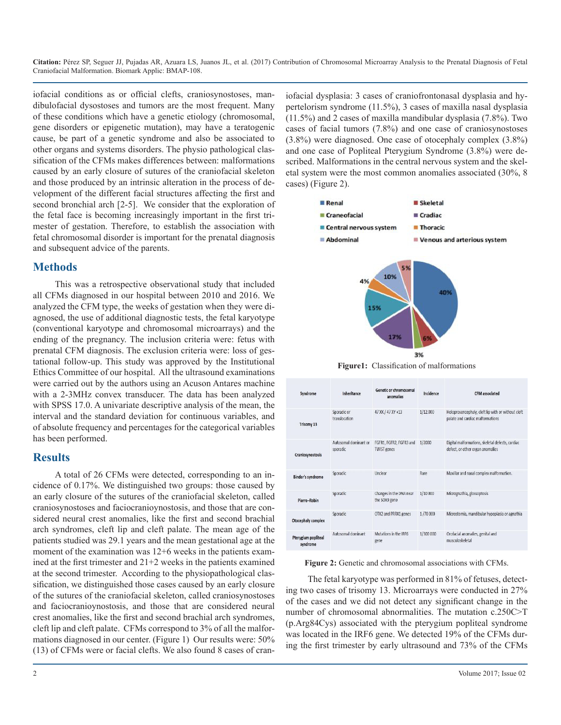**Citation:** Pérez SP, Seguer JJ, Pujadas AR, Azuara LS, Juanos JL, et al. (2017) Contribution of Chromosomal Microarray Analysis to the Prenatal Diagnosis of Fetal Craniofacial Malformation. Biomark Applic: BMAP-108.

iofacial conditions as or official clefts, craniosynostoses, mandibulofacial dysostoses and tumors are the most frequent. Many of these conditions which have a genetic etiology (chromosomal, gene disorders or epigenetic mutation), may have a teratogenic cause, be part of a genetic syndrome and also be associated to other organs and systems disorders. The physio pathological classification of the CFMs makes differences between: malformations caused by an early closure of sutures of the craniofacial skeleton and those produced by an intrinsic alteration in the process of development of the different facial structures affecting the first and second bronchial arch [2-5]. We consider that the exploration of the fetal face is becoming increasingly important in the first trimester of gestation. Therefore, to establish the association with fetal chromosomal disorder is important for the prenatal diagnosis and subsequent advice of the parents.

#### **Methods**

This was a retrospective observational study that included all CFMs diagnosed in our hospital between 2010 and 2016. We analyzed the CFM type, the weeks of gestation when they were diagnosed, the use of additional diagnostic tests, the fetal karyotype (conventional karyotype and chromosomal microarrays) and the ending of the pregnancy. The inclusion criteria were: fetus with prenatal CFM diagnosis. The exclusion criteria were: loss of gestational follow-up. This study was approved by the Institutional Ethics Committee of our hospital. All the ultrasound examinations were carried out by the authors using an Acuson Antares machine with a 2-3MHz convex transducer. The data has been analyzed with SPSS 17.0. A univariate descriptive analysis of the mean, the interval and the standard deviation for continuous variables, and of absolute frequency and percentages for the categorical variables has been performed.

# **Results**

A total of 26 CFMs were detected, corresponding to an incidence of 0.17%. We distinguished two groups: those caused by an early closure of the sutures of the craniofacial skeleton, called craniosynostoses and faciocranioynostosis, and those that are considered neural crest anomalies, like the first and second brachial arch syndromes, cleft lip and cleft palate. The mean age of the patients studied was 29.1 years and the mean gestational age at the moment of the examination was 12+6 weeks in the patients examined at the first trimester and 21+2 weeks in the patients examined at the second trimester. According to the physiopathological classification, we distinguished those cases caused by an early closure of the sutures of the craniofacial skeleton, called craniosynostoses and faciocranioynostosis, and those that are considered neural crest anomalies, like the first and second brachial arch syndromes, cleft lip and cleft palate. CFMs correspond to 3% of all the malformations diagnosed in our center. (Figure 1) Our results were: 50% (13) of CFMs were or facial clefts. We also found 8 cases of cran-

iofacial dysplasia: 3 cases of craniofrontonasal dysplasia and hypertelorism syndrome (11.5%), 3 cases of maxilla nasal dysplasia (11.5%) and 2 cases of maxilla mandibular dysplasia (7.8%). Two cases of facial tumors (7.8%) and one case of craniosynostoses (3.8%) were diagnosed. One case of otocephaly complex (3.8%) and one case of Popliteal Pterygium Syndrome (3.8%) were described. Malformations in the central nervous system and the skeletal system were the most common anomalies associated (30%, 8 cases) (Figure 2).



| Syndrome                        | Inheritance                       | Genetic or chromosomal<br>anomalies           | Incidence | <b>CFM</b> associated                                                                  |
|---------------------------------|-----------------------------------|-----------------------------------------------|-----------|----------------------------------------------------------------------------------------|
| Trisomy 13                      | Sporadic or<br>translocation      | 47 XX / 47 XY +13                             | 1/12.000  | Holoprosencephaly, cleft lip with or without cleft<br>palate and cardiac malformations |
| Craniosynostosis                | Autosomal dominant or<br>sporadic | FGFR1, FGFR2, FGFR3 and<br><b>TWIST genes</b> | 1/2000    | Digital malformations, skeletal defects, cardiac<br>defect, or other organ anomalies   |
| Binder's syndrome               | Sporadic                          | Unclear                                       | Rare      | Maxillar and nasal complex malformation.                                               |
| Pierre-Robin                    | Sporadic                          | Changes in the DNA near<br>the SOX9 gene      | 1/10 000  | Micrognathia, glossoptosis                                                             |
| Otocephaly complex              | Sporadic                          | OTX2 and PRRX1 genes                          | 1/70 000  | Microstomia, mandibular hypoplasia or agnathia                                         |
| Pterygium popliteal<br>syndrome | Autosomal dominant                | Mutations in the IRF6<br>gene                 | 1/300 000 | Orofacial anomalies, genital and<br>musculoskeletal                                    |

Figure 2: Genetic and chromosomal associations with CFMs.

The fetal karyotype was performed in 81% of fetuses, detecting two cases of trisomy 13. Microarrays were conducted in 27% of the cases and we did not detect any significant change in the number of chromosomal abnormalities. The mutation c.250C>T (p.Arg84Cys) associated with the pterygium popliteal syndrome was located in the IRF6 gene. We detected 19% of the CFMs during the first trimester by early ultrasound and 73% of the CFMs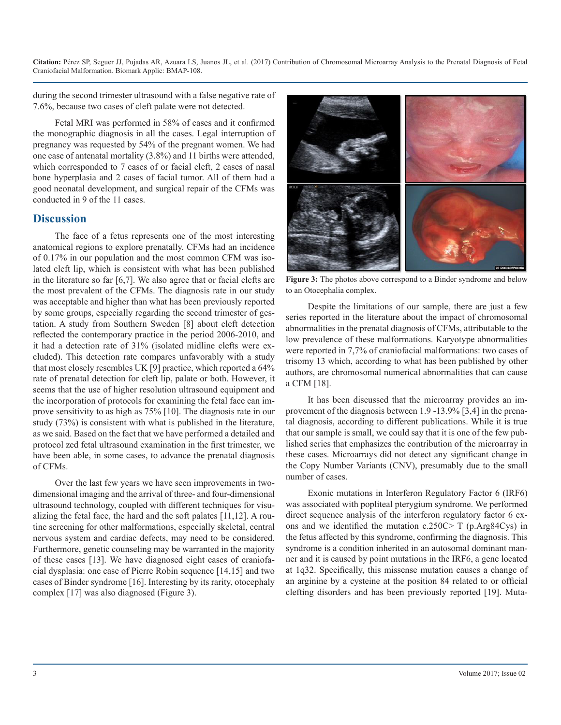**Citation:** Pérez SP, Seguer JJ, Pujadas AR, Azuara LS, Juanos JL, et al. (2017) Contribution of Chromosomal Microarray Analysis to the Prenatal Diagnosis of Fetal Craniofacial Malformation. Biomark Applic: BMAP-108.

during the second trimester ultrasound with a false negative rate of 7.6%, because two cases of cleft palate were not detected.

Fetal MRI was performed in 58% of cases and it confirmed the monographic diagnosis in all the cases. Legal interruption of pregnancy was requested by 54% of the pregnant women. We had one case of antenatal mortality (3.8%) and 11 births were attended, which corresponded to 7 cases of or facial cleft, 2 cases of nasal bone hyperplasia and 2 cases of facial tumor. All of them had a good neonatal development, and surgical repair of the CFMs was conducted in 9 of the 11 cases.

# **Discussion**

The face of a fetus represents one of the most interesting anatomical regions to explore prenatally. CFMs had an incidence of 0.17% in our population and the most common CFM was isolated cleft lip, which is consistent with what has been published in the literature so far [6,7]. We also agree that or facial clefts are the most prevalent of the CFMs. The diagnosis rate in our study was acceptable and higher than what has been previously reported by some groups, especially regarding the second trimester of gestation. A study from Southern Sweden [8] about cleft detection reflected the contemporary practice in the period 2006-2010, and it had a detection rate of 31% (isolated midline clefts were excluded). This detection rate compares unfavorably with a study that most closely resembles UK [9] practice, which reported a 64% rate of prenatal detection for cleft lip, palate or both. However, it seems that the use of higher resolution ultrasound equipment and the incorporation of protocols for examining the fetal face can improve sensitivity to as high as 75% [10]. The diagnosis rate in our study (73%) is consistent with what is published in the literature, as we said. Based on the fact that we have performed a detailed and protocol zed fetal ultrasound examination in the first trimester, we have been able, in some cases, to advance the prenatal diagnosis of CFMs.

Over the last few years we have seen improvements in twodimensional imaging and the arrival of three- and four-dimensional ultrasound technology, coupled with different techniques for visualizing the fetal face, the hard and the soft palates [11,12]. A routine screening for other malformations, especially skeletal, central nervous system and cardiac defects, may need to be considered. Furthermore, genetic counseling may be warranted in the majority of these cases [13]. We have diagnosed eight cases of craniofacial dysplasia: one case of Pierre Robin sequence [14,15] and two cases of Binder syndrome [16]. Interesting by its rarity, otocephaly complex [17] was also diagnosed (Figure 3).



**Figure 3:** The photos above correspond to a Binder syndrome and below to an Otocephalia complex.

Despite the limitations of our sample, there are just a few series reported in the literature about the impact of chromosomal abnormalities in the prenatal diagnosis of CFMs, attributable to the low prevalence of these malformations. Karyotype abnormalities were reported in 7,7% of craniofacial malformations: two cases of trisomy 13 which, according to what has been published by other authors, are chromosomal numerical abnormalities that can cause a CFM [18].

It has been discussed that the microarray provides an improvement of the diagnosis between 1.9 -13.9% [3,4] in the prenatal diagnosis, according to different publications. While it is true that our sample is small, we could say that it is one of the few published series that emphasizes the contribution of the microarray in these cases. Microarrays did not detect any significant change in the Copy Number Variants (CNV), presumably due to the small number of cases.

Exonic mutations in Interferon Regulatory Factor 6 (IRF6) was associated with popliteal pterygium syndrome. We performed direct sequence analysis of the interferon regulatory factor 6 exons and we identified the mutation c.250C> T (p.Arg84Cys) in the fetus affected by this syndrome, confirming the diagnosis. This syndrome is a condition inherited in an autosomal dominant manner and it is caused by point mutations in the IRF6, a gene located at 1q32. Specifically, this missense mutation causes a change of an arginine by a cysteine at the position 84 related to or official clefting disorders and has been previously reported [19]. Muta